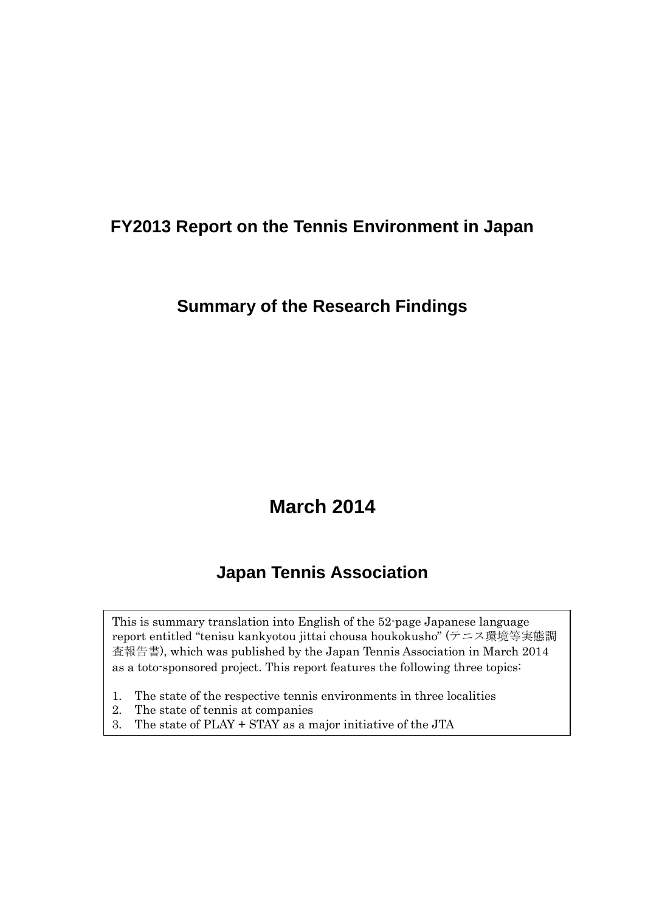# **FY2013 Report on the Tennis Environment in Japan**

## **Summary of the Research Findings**

# **March 2014**

# **Japan Tennis Association**

This is summary translation into English of the 52-page Japanese language report entitled "tenisu kankyotou jittai chousa houkokusho" (テニス環境等実態調 査報告書), which was published by the Japan Tennis Association in March 2014 as a toto-sponsored project. This report features the following three topics:

- 1. The state of the respective tennis environments in three localities
- 2. The state of tennis at companies
- 3. The state of PLAY + STAY as a major initiative of the JTA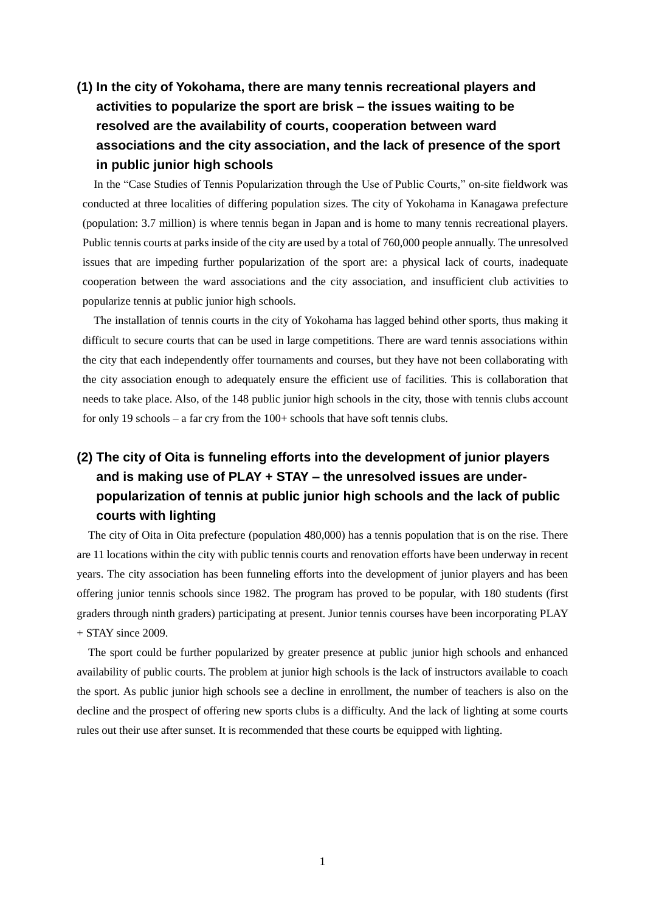### **(1) In the city of Yokohama, there are many tennis recreational players and activities to popularize the sport are brisk – the issues waiting to be resolved are the availability of courts, cooperation between ward associations and the city association, and the lack of presence of the sport in public junior high schools**

In the "Case Studies of Tennis Popularization through the Use of Public Courts," on-site fieldwork was conducted at three localities of differing population sizes. The city of Yokohama in Kanagawa prefecture (population: 3.7 million) is where tennis began in Japan and is home to many tennis recreational players. Public tennis courts at parks inside of the city are used by a total of 760,000 people annually. The unresolved issues that are impeding further popularization of the sport are: a physical lack of courts, inadequate cooperation between the ward associations and the city association, and insufficient club activities to popularize tennis at public junior high schools.

The installation of tennis courts in the city of Yokohama has lagged behind other sports, thus making it difficult to secure courts that can be used in large competitions. There are ward tennis associations within the city that each independently offer tournaments and courses, but they have not been collaborating with the city association enough to adequately ensure the efficient use of facilities. This is collaboration that needs to take place. Also, of the 148 public junior high schools in the city, those with tennis clubs account for only 19 schools – a far cry from the 100+ schools that have soft tennis clubs.

### **(2) The city of Oita is funneling efforts into the development of junior players and is making use of PLAY + STAY – the unresolved issues are underpopularization of tennis at public junior high schools and the lack of public courts with lighting**

The city of Oita in Oita prefecture (population 480,000) has a tennis population that is on the rise. There are 11 locations within the city with public tennis courts and renovation efforts have been underway in recent years. The city association has been funneling efforts into the development of junior players and has been offering junior tennis schools since 1982. The program has proved to be popular, with 180 students (first graders through ninth graders) participating at present. Junior tennis courses have been incorporating PLAY + STAY since 2009.

The sport could be further popularized by greater presence at public junior high schools and enhanced availability of public courts. The problem at junior high schools is the lack of instructors available to coach the sport. As public junior high schools see a decline in enrollment, the number of teachers is also on the decline and the prospect of offering new sports clubs is a difficulty. And the lack of lighting at some courts rules out their use after sunset. It is recommended that these courts be equipped with lighting.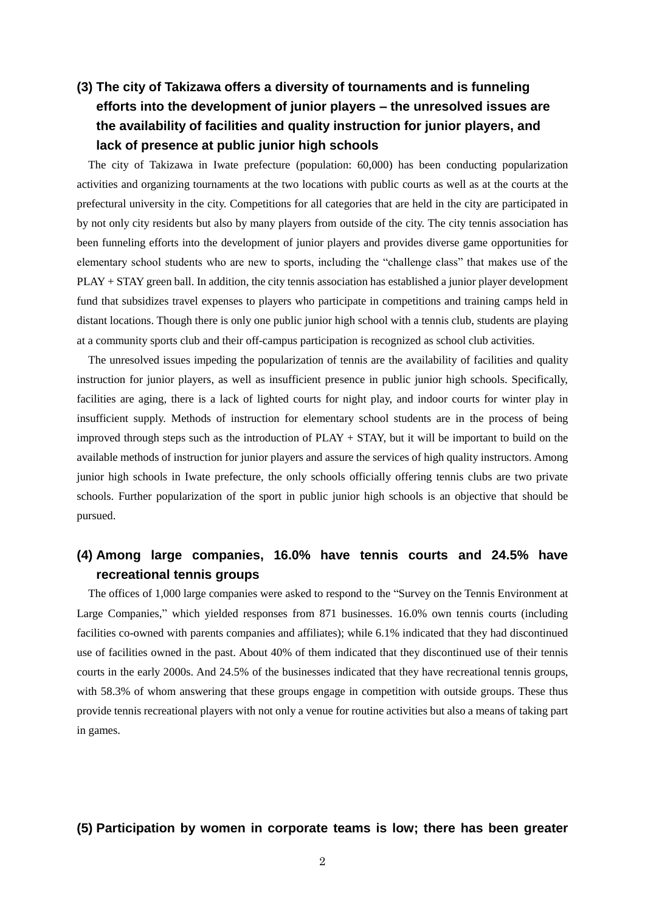#### **(3) The city of Takizawa offers a diversity of tournaments and is funneling efforts into the development of junior players – the unresolved issues are the availability of facilities and quality instruction for junior players, and lack of presence at public junior high schools**

The city of Takizawa in Iwate prefecture (population: 60,000) has been conducting popularization activities and organizing tournaments at the two locations with public courts as well as at the courts at the prefectural university in the city. Competitions for all categories that are held in the city are participated in by not only city residents but also by many players from outside of the city. The city tennis association has been funneling efforts into the development of junior players and provides diverse game opportunities for elementary school students who are new to sports, including the "challenge class" that makes use of the PLAY + STAY green ball. In addition, the city tennis association has established a junior player development fund that subsidizes travel expenses to players who participate in competitions and training camps held in distant locations. Though there is only one public junior high school with a tennis club, students are playing at a community sports club and their off-campus participation is recognized as school club activities.

The unresolved issues impeding the popularization of tennis are the availability of facilities and quality instruction for junior players, as well as insufficient presence in public junior high schools. Specifically, facilities are aging, there is a lack of lighted courts for night play, and indoor courts for winter play in insufficient supply. Methods of instruction for elementary school students are in the process of being improved through steps such as the introduction of PLAY + STAY, but it will be important to build on the available methods of instruction for junior players and assure the services of high quality instructors. Among junior high schools in Iwate prefecture, the only schools officially offering tennis clubs are two private schools. Further popularization of the sport in public junior high schools is an objective that should be pursued.

#### **(4) Among large companies, 16.0% have tennis courts and 24.5% have recreational tennis groups**

The offices of 1,000 large companies were asked to respond to the "Survey on the Tennis Environment at Large Companies," which yielded responses from 871 businesses. 16.0% own tennis courts (including facilities co-owned with parents companies and affiliates); while 6.1% indicated that they had discontinued use of facilities owned in the past. About 40% of them indicated that they discontinued use of their tennis courts in the early 2000s. And 24.5% of the businesses indicated that they have recreational tennis groups, with 58.3% of whom answering that these groups engage in competition with outside groups. These thus provide tennis recreational players with not only a venue for routine activities but also a means of taking part in games.

#### **(5) Participation by women in corporate teams is low; there has been greater**